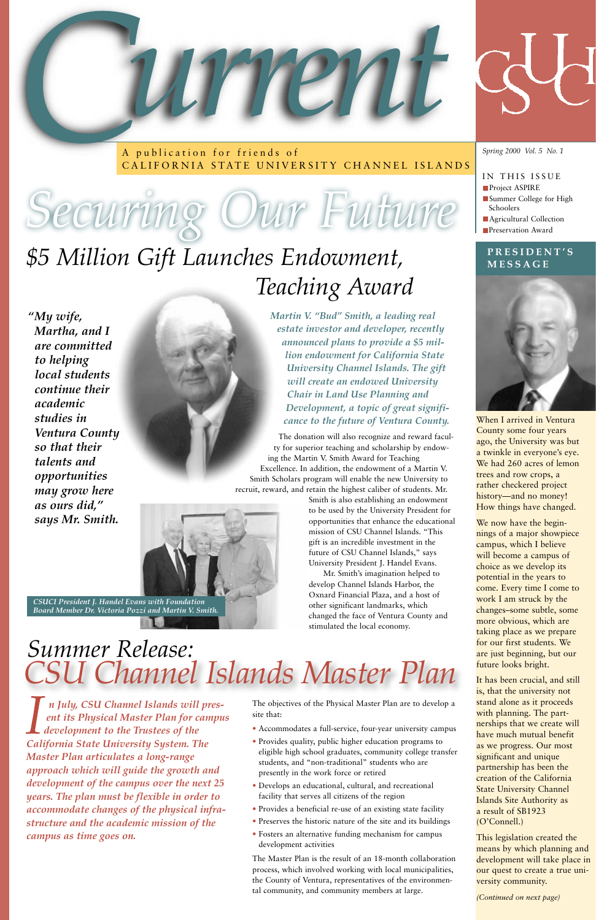*n July, CSU Channel Islands will present its Physical Master Plan for campus development to the Trustees of the California State University System. The Master Plan articulates a long-range approach which will guide the growth and development of the campus over the next 25 years. The plan must be flexible in order to accommodate changes of the physical infrastructure and the academic mission of the campus as time goes on.*



A publication for friends of CALIFORNIA STATE UNIVERSITY CHANNEL ISLANDS

*Spring 2000 Vol. 5 No. 1*

#### IN THIS ISSUE

- **Project ASPIRE**
- Summer College for High Schoolers
- **Agricultural Collection Preservation Award**



The donation will also recognize and reward faculty for superior teaching and scholarship by endowing the Martin V. Smith Award for Teaching Excellence. In addition, the endowment of a Martin V. Smith Scholars program will enable the new University to recruit, reward, and retain the highest caliber of students. Mr.

> Smith is also establishing an endowment to be used by the University President for opportunities that enhance the educational mission of CSU Channel Islands. "This gift is an incredible investment in the future of CSU Channel Islands," says University President J. Handel Evans.

Mr. Smith's imagination helped to develop Channel Islands Harbor, the Oxnard Financial Plaza, and a host of other significant landmarks, which changed the face of Ventura County and stimulated the local economy.



#### **PRESIDENT'S MESSAGE**



When I arrived in Ventura County some four years ago, the University was but a twinkle in everyone's eye. We had 260 acres of lemon trees and row crops, a rather checkered project history—and no money! How things have changed.

We now have the beginnings of a major showpiece campus, which I believe will become a campus of choice as we develop its potential in the years to come. Every time I come to work I am struck by the changes–some subtle, some more obvious, which are taking place as we prepare for our first students. We are just beginning, but our future looks bright.

It has been crucial, and still is, that the university not stand alone as it proceeds with planning. The partnerships that we create will have much mutual benefit as we progress. Our most significant and unique partnership has been the creation of the California State University Channel Islands Site Authority as a result of SB1923 (O'Connell.)

This legislation created the means by which planning and development will take place in our quest to create a true university community.

*(Continued on next page)*

The objectives of the Physical Master Plan are to develop a site that:

- Accommodates a full-service, four-year university campus
- Provides quality, public higher education programs to eligible high school graduates, community college transfer students, and "non-traditional" students who are presently in the work force or retired
- Develops an educational, cultural, and recreational facility that serves all citizens of the region
- Provides a beneficial re-use of an existing state facility
- Preserves the historic nature of the site and its buildings
- Fosters an alternative funding mechanism for campus development activities

The Master Plan is the result of an 18-month collaboration process, which involved working with local municipalities, the County of Ventura, representatives of the environmental community, and community members at large.

### *\$5 Million Gift Launches Endowment, Teaching Award*

*CSU Channel Islands Master Plan Summer Release:*

# *Securing Our Future*



*CSUCI President J. Handel Evans with Foundation Board Member Dr. Victoria Pozzi and Martin V. Smith.* 

*"My wife, Martha, and I are committed to helping local students continue their academic studies in Ventura County so that their talents and opportunities may grow here as ours did," says Mr. Smith.*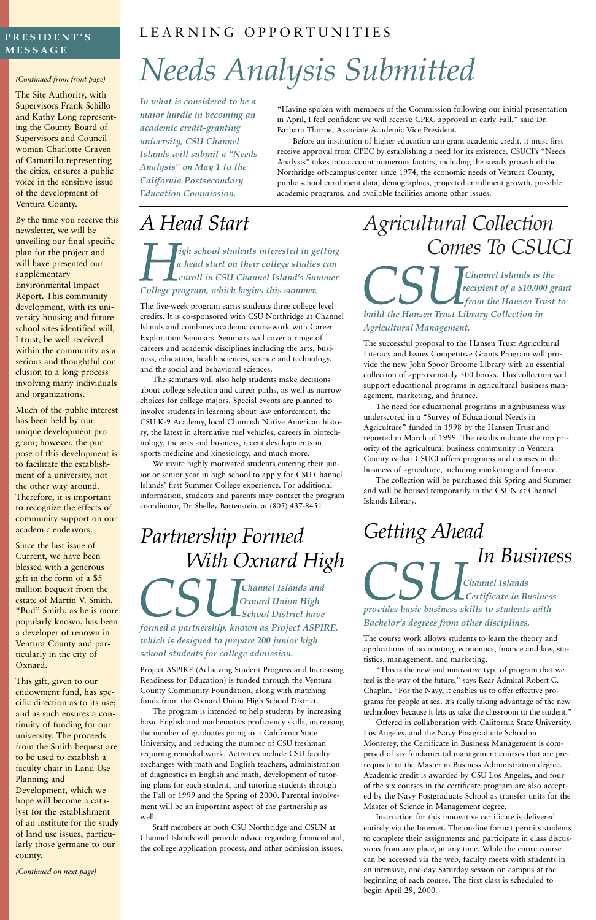### *Agricultural Collection Comes To CSUCI*

*Channel Islands is the recipient of a \$10,000 grant from the Hansen Trust to build the Hansen Trust Library Collection in Agricultural Management.*

The successful proposal to the Hansen Trust Agricultural Literacy and Issues Competitive Grants Program will provide the new John Spoor Broome Library with an essential collection of approximately 500 books. This collection will support educational programs in agricultural business management, marketing, and finance.

The need for educational programs in agribusiness was underscored in a "Survey of Educational Needs in Agriculture" funded in 1998 by the Hansen Trust and reported in March of 1999. The results indicate the top priority of the agricultural business community in Ventura County is that CSUCI offers programs and courses in the business of agriculture, including marketing and finance.

The collection will be purchased this Spring and Summer and will be housed temporarily in the CSUN at Channel Islands Library.

*Getting Ahead In Business Channel Islands Certificate in Business provides basic business skills to students with Bachelor's degrees from other disciplines.*

The course work allows students to learn the theory and applications of accounting, economics, finance and law, statistics, management, and marketing.

"This is the new and innovative type of program that we

feel is the way of the future," says Rear Admiral Robert C. Chaplin. "For the Navy, it enables us to offer effective programs for people at sea. It's really taking advantage of the new technology because it lets us take the classroom to the student."

Offered in collaboration with California State University, Los Angeles, and the Navy Postgraduate School in Monterey, the Certificate in Business Management is comprised of six fundamental management courses that are prerequisite to the Master in Business Administration degree. Academic credit is awarded by CSU Los Angeles, and four of the six courses in the certificate program are also accepted by the Navy Postgraduate School as transfer units for the Master of Science in Management degree.

Instruction for this innovative certificate is delivered entirely via the Internet. The on-line format permits students to complete their assignments and participate in class discussions from any place, at any time. While the entire course can be accessed via the web, faculty meets with students in an intensive, one-day Saturday session on campus at the beginning of each course. The first class is scheduled to begin April 29, 2000.

#### *(Continued from front page)*

The Site Authority, with Supervisors Frank Schillo and Kathy Long representing the County Board of Supervisors and Councilwoman Charlotte Craven of Camarillo representing the cities, ensures a public voice in the sensitive issue of the development of Ventura County.

By the time you receive this newsletter, we will be unveiling our final specific plan for the project and will have presented our supplementary Environmental Impact Report. This community development, with its university housing and future school sites identified will, I trust, be well-received within the community as a serious and thoughtful conclusion to a long process involving many individuals and organizations.

Much of the public interest has been held by our unique development program; however, the purpose of this development is to facilitate the establishment of a university, not the other way around. Therefore, it is important to recognize the effects of community support on our academic endeavors.

Since the last issue of Current, we have been blessed with a generous gift in the form of a \$5 million bequest from the estate of Martin V. Smith. "Bud" Smith, as he is more popularly known, has been a developer of renown in Ventura County and particularly in the city of Oxnard. This gift, given to our endowment fund, has specific direction as to its use; and as such ensures a continuity of funding for our university. The proceeds from the Smith bequest are to be used to establish a faculty chair in Land Use Planning and Development, which we hope will become a catalyst for the establishment of an institute for the study of land use issues, particularly those germane to our county.

*(Continued on next page)*

### LEARNING OPPORTUNITIES

## *Needs Analysis Submitted*

"Having spoken with members of the Commission following our initial presentation in April, I feel confident we will receive CPEC approval in early Fall," said Dr. Barbara Thorpe, Associate Academic Vice President.

Before an institution of higher education can grant academic credit, it must first receive approval from CPEC by establishing a need for its existence. CSUCI's "Needs Analysis" takes into account numerous factors, including the steady growth of the Northridge off-campus center since 1974, the economic needs of Ventura County, public school enrollment data, demographics, projected enrollment growth, possible academic programs, and available facilities among other issues.

#### **PRESIDENT'S MESSAGE**

*In what is considered to be a major hurdle in becoming an academic credit-granting university, CSU Channel Islands will submit a "Needs Analysis" on May 1 to the California Postsecondary Education Commission.* 

### *A Head Start*

*igh school students interested in getting a head start on their college studies can enroll in CSU Channel Island's Summer College program, which begins this summer.*

The five-week program earns students three college level credits. It is co-sponsored with CSU Northridge at Channel Islands and combines academic coursework with Career Exploration Seminars. Seminars will cover a range of careers and academic disciplines including the arts, business, education, health sciences, science and technology, and the social and behavioral sciences.

The seminars will also help students make decisions about college selection and career paths, as well as narrow choices for college majors. Special events are planned to involve students in learning about law enforcement, the CSU K-9 Academy, local Chumash Native American history, the latest in alternative fuel vehicles, careers in biotechnology, the arts and business, recent developments in sports medicine and kinesiology, and much more.

We invite highly motivated students entering their junior or senior year in high school to apply for CSU Channel Islands' first Summer College experience. For additional information, students and parents may contact the program coordinator, Dr. Shelley Bartenstein, at (805) 437-8451.

### *Partnership Formed With Oxnard High*

*Channel Islands and Oxnard Union High School District have formed a partnership, known as Project ASPIRE, which is designed to prepare 200 junior high school students for college admission.*

Project ASPIRE (Achieving Student Progress and Increasing

Readiness for Education) is funded through the Ventura County Community Foundation, along with matching funds from the Oxnard Union High School District.

The program is intended to help students by increasing basic English and mathematics proficiency skills, increasing the number of graduates going to a California State University, and reducing the number of CSU freshman requiring remedial work. Activities include CSU faculty exchanges with math and English teachers, administration of diagnostics in English and math, development of tutoring plans for each student, and tutoring students through the Fall of 1999 and the Spring of 2000. Parental involvement will be an important aspect of the partnership as well.

Staff members at both CSU Northridge and CSUN at Channel Islands will provide advice regarding financial aid, the college application process, and other admission issues.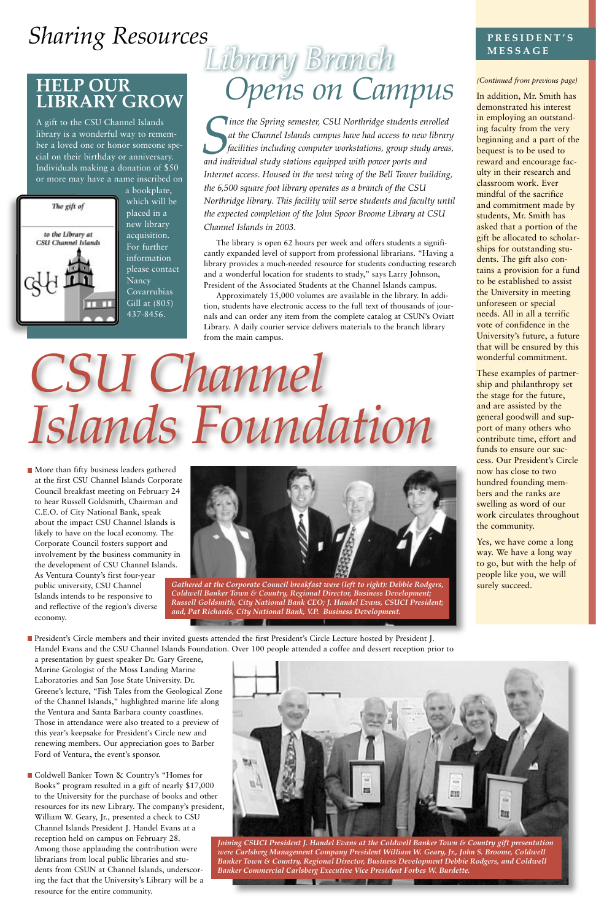# *CSU Channel Islands Foundation*

*ince the Spring semester, CSU Northridge students enrolled at the Channel Islands campus have had access to new library facilities including computer workstations, group study areas, and individual study stations equipped with power ports and Internet access. Housed in the west wing of the Bell Tower building, the 6,500 square foot library operates as a branch of the CSU Northridge library. This facility will serve students and faculty until the expected completion of the John Spoor Broome Library at CSU Channel Islands in 2003.*

The library is open 62 hours per week and offers students a significantly expanded level of support from professional librarians. "Having a library provides a much-needed resource for students conducting research and a wonderful location for students to study," says Larry Johnson, President of the Associated Students at the Channel Islands campus.

Approximately 15,000 volumes are available in the library. In addition, students have electronic access to the full text of thousands of journals and can order any item from the complete catalog at CSUN's Oviatt Library. A daily courier service delivers materials to the branch library from the main campus.

More than fifty business leaders gathered at the first CSU Channel Islands Corporate Council breakfast meeting on February 24 to hear Russell Goldsmith, Chairman and C.E.O. of City National Bank, speak about the impact CSU Channel Islands is likely to have on the local economy. The Corporate Council fosters support and involvement by the business community in the development of CSU Channel Islands. As Ventura County's first four-year public university, CSU Channel Islands intends to be responsive to and reflective of the region's diverse economy.

■ Coldwell Banker Town & Country's "Homes for Books" program resulted in a gift of nearly \$17,000 to the University for the purchase of books and other resources for its new Library. The company's president, William W. Geary, Jr., presented a check to CSU Channel Islands President J. Handel Evans at a reception held on campus on February 28. Among those applauding the contribution were librarians from local public libraries and students from CSUN at Channel Islands, underscoring the fact that the University's Library will be a resource for the entire community.

President's Circle members and their invited guests attended the first President's Circle Lecture hosted by President J. Handel Evans and the CSU Channel Islands Foundation. Over 100 people attended a coffee and dessert reception prior to

 $\overline{\mathbf{r}}$ 

**The Second Contract** 

a presentation by guest speaker Dr. Gary Greene, Marine Geologist of the Moss Landing Marine

Yes, we have come a long way. We have a long way to go, but with the help of people like you, we will surely succeed.

Laboratories and San Jose State University. Dr. Greene's lecture, "Fish Tales from the Geological Zone of the Channel Islands," highlighted marine life along the Ventura and Santa Barbara county coastlines. Those in attendance were also treated to a preview of this year's keepsake for President's Circle new and renewing members. Our appreciation goes to Barber Ford of Ventura, the event's sponsor.

#### *(Continued from previous page)*

In addition, Mr. Smith has demonstrated his interest in employing an outstanding faculty from the very beginning and a part of the bequest is to be used to reward and encourage faculty in their research and classroom work. Ever mindful of the sacrifice and commitment made by students, Mr. Smith has asked that a portion of the gift be allocated to scholarships for outstanding students. The gift also contains a provision for a fund to be established to assist the University in meeting unforeseen or special needs. All in all a terrific vote of confidence in the University's future, a future that will be ensured by this wonderful commitment.

These examples of partnership and philanthropy set the stage for the future, and are assisted by the general goodwill and support of many others who contribute time, effort and funds to ensure our success. Our President's Circle now has close to two hundred founding members and the ranks are swelling as word of our work circulates throughout the community.

## **Sharing Resources PRESIDENT'S**

### **HELP OUR LIBRARY GROW**

A gift to the CSU Channel Islands library is a wonderful way to remember a loved one or honor someone special on their birthday or anniversary. Individuals making a donation of \$50 or more may have a name inscribed on



a bookplate, which will be placed in a new library acquisition. For further information please contact Nancy Covarrubias Gill at (805) 437-8456.

# *Library Branch Opens on Campus*



*Joining CSUCI President J. Handel Evans at the Coldwell Banker Town & Country gift presentation were Carlsberg Management Company President William W. Geary, Jr., John S. Broome, Coldwell Banker Town & Country, Regional Director, Business Development Debbie Rodgers, and Coldwell Banker Commercial Carlsberg Executive Vice President Forbes W. Burdette.*

**Comment of Comment of Comment of Comment of Comment of Comment of Comment of Comment of Comment of Comment of Comment of Comment of Comment of Comment of Comment of Comment of Comment of Comment of Comment of Comment of C** 



*Gathered at the Corporate Council breakfast were (left to right): Debbie Rodgers, Coldwell Banker Town & Country, Regional Director, Business Development; Russell Goldsmith, City National Bank CEO; J. Handel Evans, CSUCI President; and, Pat Richards, City National Bank, V.P. Business Development.*

### **MESSAGE**